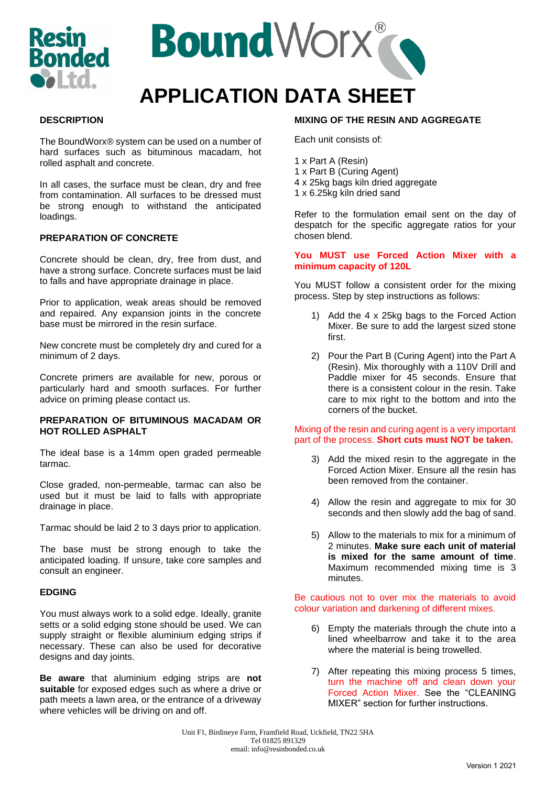



## **DESCRIPTION**

The BoundWorx® system can be used on a number of hard surfaces such as bituminous macadam, hot rolled asphalt and concrete.

In all cases, the surface must be clean, dry and free from contamination. All surfaces to be dressed must be strong enough to withstand the anticipated loadings.

## **PREPARATION OF CONCRETE**

Concrete should be clean, dry, free from dust, and have a strong surface. Concrete surfaces must be laid to falls and have appropriate drainage in place.

Prior to application, weak areas should be removed and repaired. Any expansion joints in the concrete base must be mirrored in the resin surface.

New concrete must be completely dry and cured for a minimum of 2 days.

Concrete primers are available for new, porous or particularly hard and smooth surfaces. For further advice on priming please contact us.

#### **PREPARATION OF BITUMINOUS MACADAM OR HOT ROLLED ASPHALT**

The ideal base is a 14mm open graded permeable tarmac.

Close graded, non-permeable, tarmac can also be used but it must be laid to falls with appropriate drainage in place.

Tarmac should be laid 2 to 3 days prior to application.

The base must be strong enough to take the anticipated loading. If unsure, take core samples and consult an engineer.

#### **EDGING**

You must always work to a solid edge. Ideally, granite setts or a solid edging stone should be used. We can supply straight or flexible aluminium edging strips if necessary. These can also be used for decorative designs and day joints.

**Be aware** that aluminium edging strips are **not suitable** for exposed edges such as where a drive or path meets a lawn area, or the entrance of a driveway where vehicles will be driving on and off.

# **MIXING OF THE RESIN AND AGGREGATE**

Each unit consists of:

- 1 x Part A (Resin)
- 1 x Part B (Curing Agent)
- 4 x 25kg bags kiln dried aggregate
- 1 x 6.25kg kiln dried sand

Refer to the formulation email sent on the day of despatch for the specific aggregate ratios for your chosen blend.

### **You MUST use Forced Action Mixer with a minimum capacity of 120L**

You MUST follow a consistent order for the mixing process. Step by step instructions as follows:

- 1) Add the 4 x 25kg bags to the Forced Action Mixer. Be sure to add the largest sized stone first.
- 2) Pour the Part B (Curing Agent) into the Part A (Resin). Mix thoroughly with a 110V Drill and Paddle mixer for 45 seconds. Ensure that there is a consistent colour in the resin. Take care to mix right to the bottom and into the corners of the bucket.

#### Mixing of the resin and curing agent is a very important part of the process. **Short cuts must NOT be taken.**

- 3) Add the mixed resin to the aggregate in the Forced Action Mixer. Ensure all the resin has been removed from the container.
- 4) Allow the resin and aggregate to mix for 30 seconds and then slowly add the bag of sand.
- 5) Allow to the materials to mix for a minimum of 2 minutes. **Make sure each unit of material is mixed for the same amount of time**. Maximum recommended mixing time is 3 minutes.

Be cautious not to over mix the materials to avoid colour variation and darkening of different mixes.

- 6) Empty the materials through the chute into a lined wheelbarrow and take it to the area where the material is being trowelled.
- 7) After repeating this mixing process 5 times, turn the machine off and clean down your Forced Action Mixer. See the "CLEANING MIXER" section for further instructions.